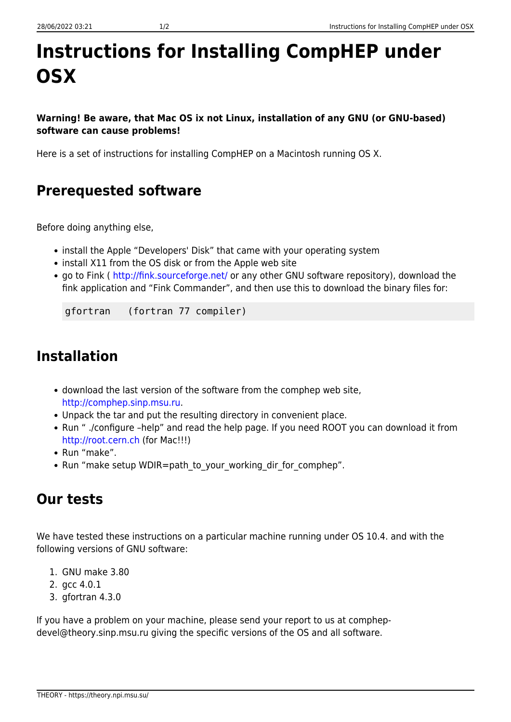## **Instructions for Installing CompHEP under OSX**

**Warning! Be aware, that Mac OS ix not Linux, installation of any GNU (or GNU-based) software can cause problems!**

Here is a set of instructions for installing CompHEP on a Macintosh running OS X.

## **Prerequested software**

Before doing anything else,

- install the Apple "Developers' Disk" that came with your operating system
- install X11 from the OS disk or from the Apple web site
- go to Fink ( <http://fink.sourceforge.net/> or any other GNU software repository), download the fink application and "Fink Commander", and then use this to download the binary files for:

gfortran (fortran 77 compiler)

## **Installation**

- download the last version of the software from the comphep web site, [http://comphep.sinp.msu.ru](http://comphep.sinp.msu.ru/).
- Unpack the tar and put the resulting directory in convenient place.
- Run " ./configure –help" and read the help page. If you need ROOT you can download it from <http://root.cern.ch>(for Mac!!!)
- Run "make".
- Run "make setup WDIR=path to your working dir for comphep".

## **Our tests**

We have tested these instructions on a particular machine running under OS 10.4. and with the following versions of GNU software:

- 1. GNU make 3.80
- 2. gcc 4.0.1
- 3. gfortran 4.3.0

If you have a problem on your machine, please send your report to us at comphepdevel@theory.sinp.msu.ru giving the specific versions of the OS and all software.